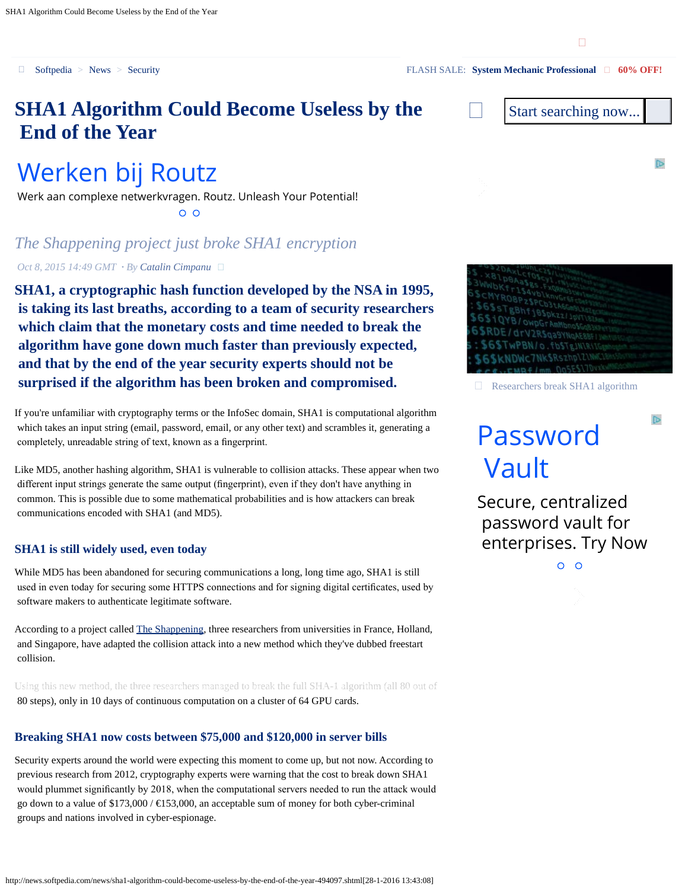<span id="page-0-0"></span>

## **SHA1 Algorithm Could Become Useless by the End of the Year**

## [Werken bij Routz](https://googleads.g.doubleclick.net/aclk?sa=L&ai=CIb0_0wyqVvOZNdb1bM6TNt28mp0Hvf6zossCyNG0eBABII6W8R9gkYSThfwXyAEBqQJhkphI80yyPqgDAcgDw4SAAqoEzQFP0CAX7ws62zK2uIGbsRt5XZdfVN5452IwAB02u8uYLWR3QOfRfHCh0DJzmvBDoilQxqJZ3vLwd3pjUjcpm66BAPThXaObsvCPBE0nAqwXDOypfCJhJ9otDnnAYyJjoJZxP_V7_5FFZoFev5GbENcXu8oHPuozxM775rcE19LUPI951_nhBVIP8FOt2pvjcgQDItaKXj7hmTcd_AsHbZtZjS4xYBRne-lSPa9Jffk3KrQr3hEQL0WyL4yqbcOo1tInquR_wL5-TYpsS-dXgAetgepBqAemvhvYBwE&num=1&sig=AOD64_3WKfRmSdGm1OUFU5jdA89DFKjFMQ&client=ca-pub-7668878252976156&adurl=http://werkenbijroutz.nl/)

Werk aan complexe netwerkvragen. Routz. Unleash Your Potential!  $O$   $O$ 

### *The Shappening project just broke SHA1 encryption*

*Oct 8, 2015 14:49 GMT · By [Catalin Cimpanu](http://news.softpedia.com/editors/browse/catalin-cimpanu)*

**SHA1, a cryptographic hash function developed by the NSA in 1995, is taking its last breaths, according to a team of security researchers which claim that the monetary costs and time needed to break the algorithm have gone down much faster than previously expected, and that by the end of the year security experts should not be surprised if the algorithm has been broken and compromised.**

If you're unfamiliar with cryptography terms or the InfoSec domain, SHA1 is computational algorithm which takes an input string (email, password, email, or any other text) and scrambles it, generating a completely, unreadable string of text, known as a fngerprint.

Like MD5, another hashing algorithm, SHA1 is vulnerable to collision attacks. These appear when two different input strings generate the same output (fngerprint), even if they don't have anything in common. This is possible due to some mathematical probabilities and is how attackers can break communications encoded with SHA1 (and MD5).

#### **SHA1 is still widely used, even today**

While MD5 has been abandoned for securing communications a long, long time ago, SHA1 is still used in even today for securing some HTTPS connections and for signing digital certifcates, used by software makers to authenticate legitimate software.

According to a project called [The Shappening](https://sites.google.com/site/itstheshappening/), three researchers from universities in France, Holland, and Singapore, have adapted the collision attack into a new method which they've dubbed freestart collision.

Using this new method, the three researchers managed [to break the fu](http://www.softpedia.com/user/privacy.shtml)ll SHA-1 algorithm (all 80 out of 80 steps), only in 10 days of continuous computation on a cluster of 64 GPU cards.

#### **Breaking SHA1 now costs between \$75,000 and \$120,000 in server bills**

Security experts around the world were expecting this moment to come up, but not now. According to previous research from 2012, cryptography experts were warning that the cost to break down SHA1 would plummet signifcantly by 2018, when the computational servers needed to run the attack would go down to a value of  $$173,000 / \text{ } \text{ } \text{ } 53,000$ , an acceptable sum of money for both cyber-criminal groups and nations involved in cyber-espionage.





Researchers break SHA1 algorithm

 $\mathbb{D}$ 

# [Password](http://www.googleadservices.com/pagead/aclk?sa=L&ai=CUWkE1wyqVvLeDJabbvCWvVC3hd_XB9fisIgbwI23ARABII6W8R9gkYSThfwXoAGVw6LtA8gBAagDAcgDwwSqBM4BT9CMKfKL504eHtxjU3a69c5Pn7uSe49Z7pliuMOne7yYU7ZdrAEZRweKWvlYceNM41KXznAqYNstrMCJVOyhoIGWo4kaAhDzwaCvW0akPpF_zEv3UjbvnxkTo5bitieIDqviCr0XngAIUWgZhLZsyQWoUAqEzD64sL5MmczZrEbK-tYnj2RoOHlKIjnwTHYtTkKlyi42VkGwwwj3-mEHxy4f9hPGvykwkCf-K_PsGHgDCTNoS1ILZuzwf5EO5gvg6Fy7uhaiKuxAImMR2UGIBgGAB9O83RKoB6a-G9gHAQ&num=1&cid=5Gh0ESQ61A6anm0qAtYIEXSJ&sig=AOD64_1f5fwkPE6W4c1RfHx3CNR9SAaf5Q&client=ca-pub-7668878252976156&adurl=http://www.manageengine.com/products/passwordmanagerpro)  [Vault](http://www.googleadservices.com/pagead/aclk?sa=L&ai=CUWkE1wyqVvLeDJabbvCWvVC3hd_XB9fisIgbwI23ARABII6W8R9gkYSThfwXoAGVw6LtA8gBAagDAcgDwwSqBM4BT9CMKfKL504eHtxjU3a69c5Pn7uSe49Z7pliuMOne7yYU7ZdrAEZRweKWvlYceNM41KXznAqYNstrMCJVOyhoIGWo4kaAhDzwaCvW0akPpF_zEv3UjbvnxkTo5bitieIDqviCr0XngAIUWgZhLZsyQWoUAqEzD64sL5MmczZrEbK-tYnj2RoOHlKIjnwTHYtTkKlyi42VkGwwwj3-mEHxy4f9hPGvykwkCf-K_PsGHgDCTNoS1ILZuzwf5EO5gvg6Fy7uhaiKuxAImMR2UGIBgGAB9O83RKoB6a-G9gHAQ&num=1&cid=5Gh0ESQ61A6anm0qAtYIEXSJ&sig=AOD64_1f5fwkPE6W4c1RfHx3CNR9SAaf5Q&client=ca-pub-7668878252976156&adurl=http://www.manageengine.com/products/passwordmanagerpro)

Secure, centralized password vault for enterprises. Try Now

 $O$   $O$